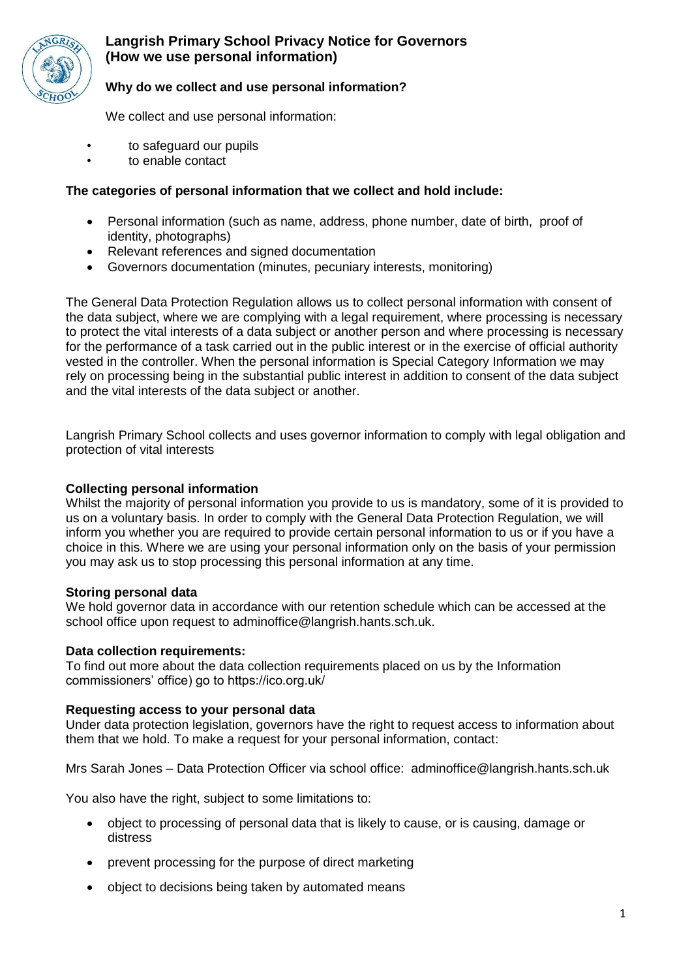

# **Langrish Primary School Privacy Notice for Governors (How we use personal information)**

## **Why do we collect and use personal information?**

We collect and use personal information:

- to safeguard our pupils
- to enable contact

# **The categories of personal information that we collect and hold include:**

- Personal information (such as name, address, phone number, date of birth, proof of identity, photographs)
- Relevant references and signed documentation
- Governors documentation (minutes, pecuniary interests, monitoring)

The General Data Protection Regulation allows us to collect personal information with consent of the data subject, where we are complying with a legal requirement, where processing is necessary to protect the vital interests of a data subject or another person and where processing is necessary for the performance of a task carried out in the public interest or in the exercise of official authority vested in the controller. When the personal information is Special Category Information we may rely on processing being in the substantial public interest in addition to consent of the data subject and the vital interests of the data subject or another.

Langrish Primary School collects and uses governor information to comply with legal obligation and protection of vital interests

#### **Collecting personal information**

Whilst the majority of personal information you provide to us is mandatory, some of it is provided to us on a voluntary basis. In order to comply with the General Data Protection Regulation, we will inform you whether you are required to provide certain personal information to us or if you have a choice in this. Where we are using your personal information only on the basis of your permission you may ask us to stop processing this personal information at any time.

#### **Storing personal data**

We hold governor data in accordance with our retention schedule which can be accessed at the school office upon request to adminoffice@langrish.hants.sch.uk.

#### **Data collection requirements:**

To find out more about the data collection requirements placed on us by the Information commissioners' office) go to https://ico.org.uk/

#### **Requesting access to your personal data**

Under data protection legislation, governors have the right to request access to information about them that we hold. To make a request for your personal information, contact:

Mrs Sarah Jones – Data Protection Officer via school office: adminoffice@langrish.hants.sch.uk

You also have the right, subject to some limitations to:

- object to processing of personal data that is likely to cause, or is causing, damage or distress
- prevent processing for the purpose of direct marketing
- object to decisions being taken by automated means